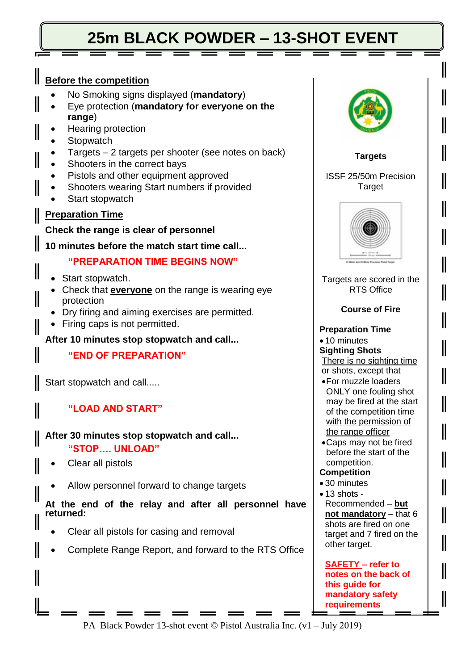## **25m BLACK POWDER – 13-SHOT EVENT**

## **Before the competition**  No Smoking signs displayed (**mandatory**) Eye protection (**mandatory for everyone on the range**) Hearing protection **Stopwatch**  Targets – 2 targets per shooter (see notes on back) Shooters in the correct bays Pistols and other equipment approved Shooters wearing Start numbers if provided Start stopwatch **Preparation Time Check the range is clear of personnel 10 minutes before the match start time call... "PREPARATION TIME BEGINS NOW"** • Start stopwatch. Check that **everyone** on the range is wearing eye Ш protection Dry firing and aiming exercises are permitted. • Firing caps is not permitted. **After 10 minutes stop stopwatch and call... "END OF PREPARATION"** Start stopwatch and call..... **"LOAD AND START" After 30 minutes stop stopwatch and call... "STOP…. UNLOAD"** Clear all pistols

Allow personnel forward to change targets

**At the end of the relay and after all personnel have returned:** 

- Clear all pistols for casing and removal
- Complete Range Report, and forward to the RTS Office



PA Black Powder 13-shot event © Pistol Australia Inc. (v1 – July 2019)